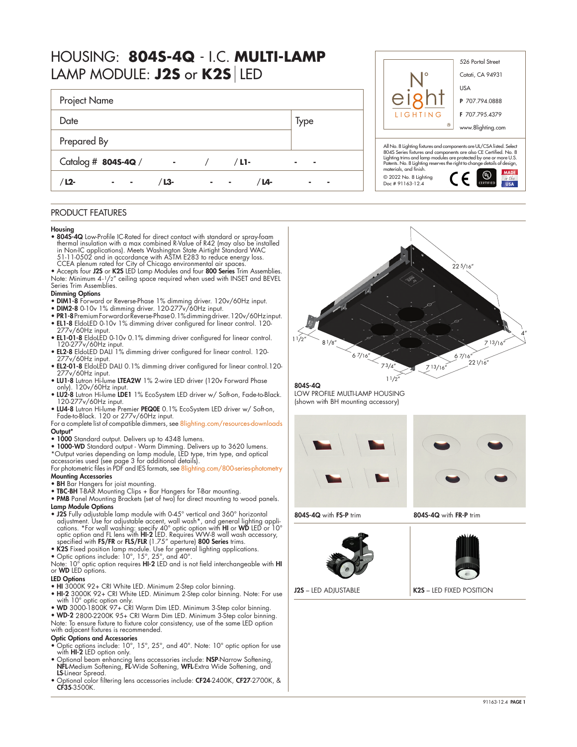| HOUSING: 8045-4Q - I.C. MULTI-LAMP |  |
|------------------------------------|--|
| LAMP MODULE: J2S or K2S LED        |  |

| Project Name        |                             |         |        |
|---------------------|-----------------------------|---------|--------|
| Date                |                             |         | Type   |
| Prepared By         |                             |         |        |
| Catalog # 8045-4Q / | $\sim$ $\sim$ $\sim$ $\sim$ | $/L1$ - | ٠<br>۰ |
| $L2-$<br>۰          | L3-                         | / L4-   |        |

## PRODUCT FEATURES

#### Housing

- 804S-4Q Low-Profile IC-Rated for direct contact with standard or spray-foam thermal insulation with a max combined R-Value of R42 (may also be installed<br>in Non-IC applications). Meets Washington State Airitight Standard WAC<br>51-11-0502 and in accordance with ASTM E283 to reduce energy loss.<br>CCEA pl
- Accepts four J2S or K2S LED Lamp Modules and four 800 Series Trim Assemblies. Note: Minimum 4-1/2" ceiling space required when used with INSET and BEVEL Series Trim Assemblies.

### Dimming Options

- DIM1-8 Forward or Reverse-Phase 1% dimming driver. 120v/60Hz input.
- DIM2-8 0-10 $v$  1% dimming driver. 120-277 $v$ /60Hz input.
- PR1-8 Premium Forward or Reverse-Phase 0.1% dimming driver. 120v/60Hz input. • EL1-8 EldoLED 0-10v 1% dimming driver configured for linear control. 120-
- 277v/60Hz input.
- EL1-01-8 EldoLED 0-10v 0.1% dimming driver configured for linear control. 120-277v/60Hz input. • EL2-8 EldoLED DALI 1% dimming driver configured for linear control. 120-
- 277v/60Hz input.
- EL2-01-8 EldoLED DALI 0.1% dimming driver configured for linear control.120- 277v/60Hz input.
- LU1-8 Lutron Hi-lume LTEA2W 1% 2-wire LED driver (120v Forward Phase only). 120v/60Hz input.
- LU2-8 Lutron Hi-lume LDE1 1% EcoSystem LED driver w/ Soft-on, Fade-to-Black. 120-277v/60Hz input.
- LU4-8 Lutron Hi-lume Premier PEQ0E 0.1% EcoSystem LED driver w/ Soft-on, Fade-to-Black. 120 or 277v/60Hz input.
- For a complete list of compatible dimmers, see [8lighting.com/resources-downloads](https://8lighting.com/resources-downloads/) Output\*
- 1000 Standard output. Delivers up to 4348 lumens.
- 1000-WD Standard output Warm Dimming. Delivers up to 3620 lumens.<br>\*Output varies depending on lamp module, LED type, trim type, and optical<br>accessories used (see page 3 for additional details).<br>For photometric files in
- Mounting Accessories
- **BH** Bar Hangers for joist mounting.
- TBC-BH T-BAR Mounting Clips + Bar Hangers for T-Bar mounting.
- PMB Panel Mounting Brackets (set of two) for direct mounting to wood panels. Lamp Module Options
- J2S Fully adjustable lamp module with 0-45° vertical and 360° horizontal<br>adjustment. Use for adjustable accent, wall wash\*, and general lighting appli-<br>cations. \*For wall washing: specify 40° optic option with HI or WD
- 
- K2S Fixed position lamp module. Use for general lighting applications. Optic options include: 10°, 15°, 25°, and 40°.

Note: 10° optic option requires **HI-2** LED and is not field interchangeable with **HI**<br>or **WD** LED options.

# LED Options

- HI 3000K 92+ CRI White LED. Minimum 2-Step color binning.
- HI-2 3000K 92+ CRI White LED. Minimum 2-Step color binning. Note: For use with 10° optic option only. • WD 3000-1800K 97+ CRI Warm Dim LED. Minimum 3-Step color binning.
- 
- WD-2 2800-2200K 95+ CRI Warm Dim LED. Minimum 3-Step color binning.

Note: To ensure fixture to fixture color consistency, use of the same LED option with adjacent fixtures is recommended.

### Optic Options and Accessories

- Optic options include: 10°, 15°, 25°, and 40°. Note: 10° optic option for use with **HI-2** LED option only.<br>• Optional beam enhancing lens accessories include: **NSP**-Narrow Softening,
- NFL-Medium Softening, FL-Wide Softening, WFL-Extra Wide Softening, and LS-Linear Spread.
- Optional color filtering lens accessories include: CF24-2400K, CF27-2700K, & CF35-3500K.





804S-4Q LOW PROFILE MULTI-LAMP HOUSING (shown with BH mounting accessory)





804S-4Q with FS-P trim 804S-4Q with FR-P trim



J2S – LED ADJUSTABLE **K2S** – LED FIXED POSITION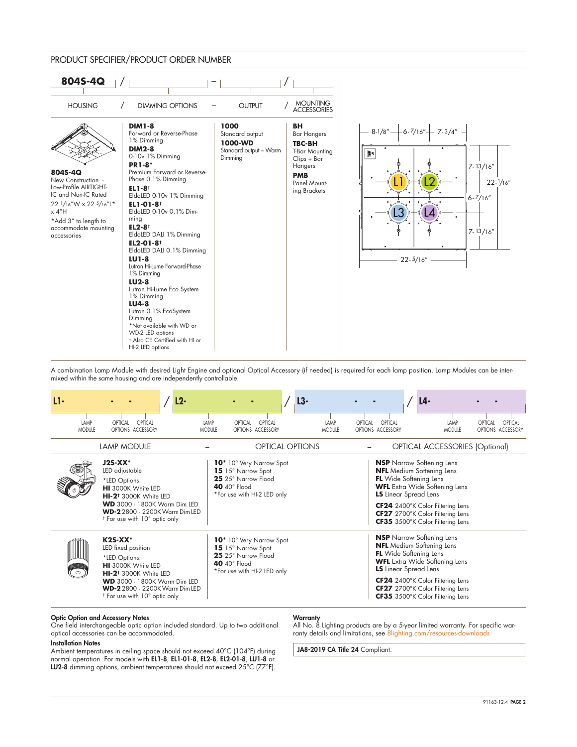### PRODUCT SPECIFIER/PRODUCT ORDER NUMBER



A combination Lamp Module with desired Light Engine and optional Optical Accessory (if needed) is required for each lamp position. Lamp Modules can be intermixed within the same housing and are independently controllable.

| LI-                   |                                                                                                                                                                                                                                                 | $L2-$                 |                                                                                                                                           | L3-                    |                                  |                                                               | L4-                                                                                                                                                                                                                      |                                         |
|-----------------------|-------------------------------------------------------------------------------------------------------------------------------------------------------------------------------------------------------------------------------------------------|-----------------------|-------------------------------------------------------------------------------------------------------------------------------------------|------------------------|----------------------------------|---------------------------------------------------------------|--------------------------------------------------------------------------------------------------------------------------------------------------------------------------------------------------------------------------|-----------------------------------------|
| LAMP<br><b>MODULE</b> | OPTICAL<br>OPTICAL<br>OPTIONS ACCESSORY                                                                                                                                                                                                         | LAMP<br><b>MODULE</b> | OPTICAL<br>OPTICAL<br>OPTIONS ACCESSORY                                                                                                   |                        | LAMP<br>OPTICAL<br><b>MODULE</b> | OPTICAL<br>OPTIONS ACCESSORY                                  | LAMP<br><b>MODULE</b>                                                                                                                                                                                                    | OPTICAL<br>OPTICAL<br>OPTIONS ACCESSORY |
|                       | <b>LAMP MODULE</b>                                                                                                                                                                                                                              |                       |                                                                                                                                           | <b>OPTICAL OPTIONS</b> |                                  |                                                               | <b>OPTICAL ACCESSORIES (Optional)</b>                                                                                                                                                                                    |                                         |
|                       | $J2S-XX*$<br>LED adjustable<br>*LED Options:<br><b>HI</b> 3000K White LED<br>HI-2 <sup>t</sup> 3000K White LED<br><b>WD</b> 3000 - 1800K Warm Dim LED<br><b>WD-2</b> 2800 - 2200K Warm Dim LED<br><sup>†</sup> For use with 10° optic only      |                       | 10 <sup>*</sup> 10° Very Narrow Spot<br>15 15° Narrow Spot<br>25 25° Narrow Flood<br>40 $40^{\circ}$ Flood<br>*For use with HI-2 LED only |                        |                                  | <b>FL</b> Wide Softening Lens<br><b>LS</b> Linear Spread Lens | <b>NSP</b> Narrow Softening Lens<br><b>NFL</b> Medium Softening Lens<br><b>WFL</b> Extra Wide Softening Lens<br>CF24 2400°K Color Filtering Lens<br>CF27 2700°K Color Filtering Lens<br>CF35 3500°K Color Filtering Lens |                                         |
| illillilli<br>$\circ$ | $K2S-XX^*$<br>LED fixed position<br>*LED Options:<br><b>HI</b> 3000K White LED<br>HI-2 <sup>t</sup> 3000K White LED<br><b>WD</b> 3000 - 1800K Warm Dim LED<br><b>WD-2</b> 2800 - 2200K Warm Dim LED<br><sup>†</sup> For use with 10° optic only |                       | 10 <sup>*</sup> 10° Very Narrow Spot<br>15 15° Narrow Spot<br>25 25° Narrow Flood<br>40 $40^{\circ}$ Flood<br>*For use with HI-2 LED only |                        |                                  | <b>FL</b> Wide Softening Lens<br><b>LS</b> Linear Spread Lens | <b>NSP</b> Narrow Softening Lens<br><b>NFL</b> Medium Softening Lens<br><b>WFL</b> Extra Wide Softening Lens<br>CF24 2400°K Color Filtering Lens<br>CF27 2700°K Color Filtering Lens<br>CF35 3500°K Color Filtering Lens |                                         |

#### Optic Option and Accessory Notes

One field interchangeable optic option included standard. Up to two additional optical accessories can be accommodated.

### Installation Notes

Ambient temperatures in ceiling space should not exceed 40°C (104°F) during normal operation. For models with EL1-8, EL1-01-8, EL2-8, EL2-01-8, LU1-8 or LU2-8 dimming options, ambient temperatures should not exceed 25°C (77°F).

### **Warranty**

All No. 8 Lighting products are by a 5-year limited warranty. For specific warranty details and limitations, see [8lighting.com/resources-downloads](https://8lighting.com/resources-downloads/)

JA8-2019 CA Title 24 Compliant.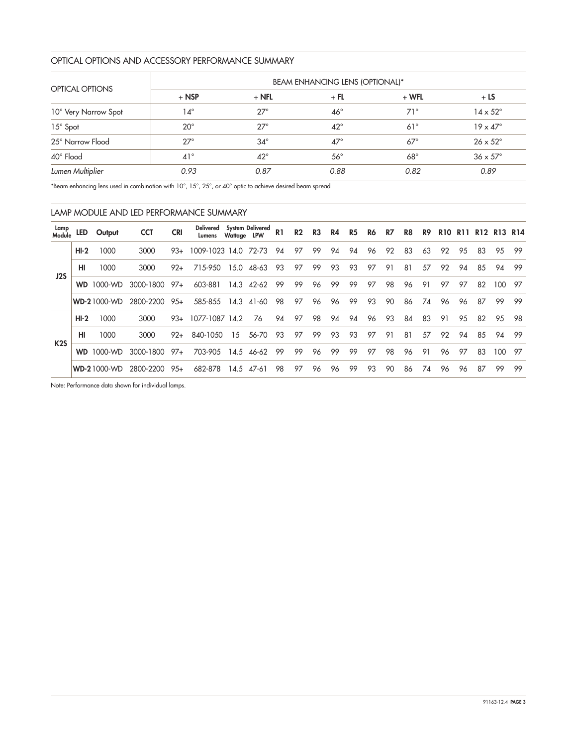## OPTICAL OPTIONS AND ACCESSORY PERFORMANCE SUMMARY

|                      | <b>BEAM ENHANCING LENS (OPTIONAL)*</b> |              |              |            |                        |  |  |  |  |  |  |  |
|----------------------|----------------------------------------|--------------|--------------|------------|------------------------|--|--|--|--|--|--|--|
| OPTICAL OPTIONS      | $+$ NSP                                | $+$ NFL      | $+$ FL       | $+ WFL$    | $+LS$                  |  |  |  |  |  |  |  |
| 10° Very Narrow Spot | 14°                                    | $27^\circ$   | $46^{\circ}$ | $71^\circ$ | $14 \times 52^{\circ}$ |  |  |  |  |  |  |  |
| 15° Spot             | $20^{\circ}$                           | $27^\circ$   | $42^{\circ}$ | $61^\circ$ | $19 \times 47^\circ$   |  |  |  |  |  |  |  |
| 25° Narrow Flood     | $27^\circ$                             | $34^\circ$   | $47^\circ$   | $67^\circ$ | $26 \times 52^{\circ}$ |  |  |  |  |  |  |  |
| 40° Flood            | $41^{\circ}$                           | $42^{\circ}$ | $56^{\circ}$ | $68^\circ$ | $36 \times 57^\circ$   |  |  |  |  |  |  |  |
| Lumen Multiplier     | 0.93                                   | 0.87         | 0.88         | 0.82       | 0.89                   |  |  |  |  |  |  |  |

\*Beam enhancing lens used in combination with 10°, 15°, 25°, or 40° optic to achieve desired beam spread

|                  | LAMP MODULE AND LED PERFORMANCE SUMMARY |                    |            |            |                     |             |                  |                |                |                |    |           |    |    |    |    |            |            |    |                |     |
|------------------|-----------------------------------------|--------------------|------------|------------|---------------------|-------------|------------------|----------------|----------------|----------------|----|-----------|----|----|----|----|------------|------------|----|----------------|-----|
| Lamp<br>Module   | led                                     | Output             | <b>CCT</b> | <b>CRI</b> | Delivered<br>Lumens | Wattage LPW | System Delivered | R <sub>1</sub> | R <sub>2</sub> | R <sub>3</sub> | R4 | <b>R5</b> | R6 | R7 | R8 | R9 | <b>R10</b> | <b>R11</b> |    | <b>R12 R13</b> | R14 |
|                  | $HI-2$                                  | 1000               | 3000       | $93+$      | 1009-1023 14.0      |             | 72-73            | 94             | 97             | 99             | 94 | 94        | 96 | 92 | 83 | 63 | 92         | 95         | 83 | 95             | -99 |
| J2S              | HI                                      | 1000               | 3000       | $92+$      | 715-950             | 15.0        | 48-63            | 93             | 97             | 99             | 93 | 93        | 97 | 91 | 81 | 57 | 92         | 94         | 85 | 94             | 99  |
|                  |                                         | <b>WD</b> 1000-WD  | 3000-1800  | $97+$      | 603-881             | 14.3        | 42-62            | 99             | 99             | 96             | 99 | 99        | 97 | 98 | 96 | 91 | 97         | 97         | 82 | 100            | 97  |
|                  |                                         | <b>WD-21000-WD</b> | 2800-2200  | $95+$      | 585-855             | 14.3        | 41-60            | 98             | 97             | 96             | 96 | 99        | 93 | 90 | 86 | 74 | 96         | 96         | 87 | 99             | -99 |
|                  | $HI-2$                                  | 1000               | 3000       | $93+$      | 1077-1087           | 14.2        | 76               | 94             | 97             | 98             | 94 | 94        | 96 | 93 | 84 | 83 | 91         | 95         | 82 | 95             | 98  |
| K <sub>2</sub> S | HI                                      | 1000               | 3000       | $92+$      | 840-1050            | 15          | 56-70            | 93             | 97             | 99             | 93 | 93        | 97 | 91 | 81 | 57 | 92         | 94         | 85 | 94             | 99  |
|                  | <b>WD</b>                               | 1000-WD            | 3000-1800  | $97+$      | 703-905             | 14.5        | 46-62            | 99             | 99             | 96             | 99 | 99        | 97 | 98 | 96 | 91 | 96         | 97         | 83 | 100            | 97  |
|                  |                                         | <b>WD-21000-WD</b> | 2800-2200  | $95+$      | 682-878             | 14.5        | 47-61            | 98             | 97             | 96             | 96 | 99        | 93 | 90 | 86 | 74 | 96         | 96         | 87 | 99             | 99  |

Note: Performance data shown for individual lamps.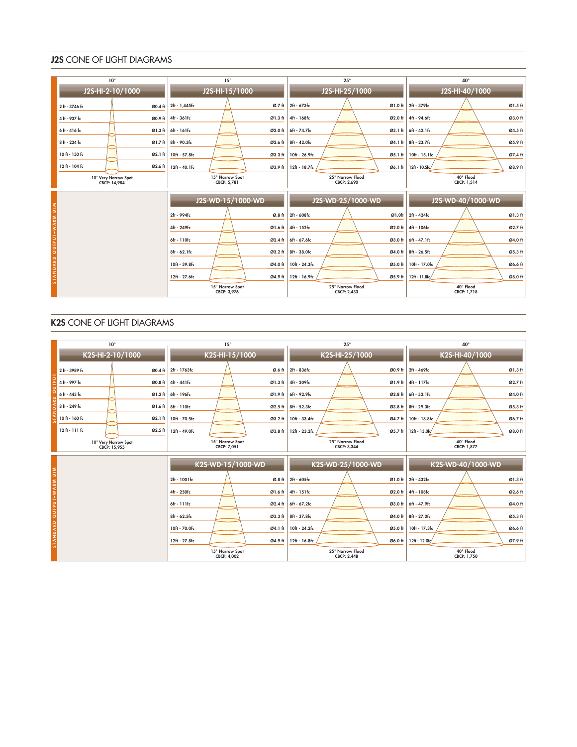## J2S CONE OF LIGHT DIAGRAMS

| $10^{\circ}$             | $15^\circ$             | $25^{\circ}$         | $40^{\circ}$                    |  |  |  |
|--------------------------|------------------------|----------------------|---------------------------------|--|--|--|
| J2S-HI-2-10/1000         | J2S-HI-15/1000         | J2S-HI-25/1000       | J2S-HI-40/1000                  |  |  |  |
| 2 ft - 3746 fc           | 2ft - 1,445fc          | 2ft - 673fc          | Ø1.0 ft 2ft - 379fc             |  |  |  |
| Ø0.4 ft                  | Ø.7 ft                 |                      | Ø1.5 ft                         |  |  |  |
| 4 ft - 937 fc            | 4ft - 361fc            | 4ft - 168fc          | 4ft - 94.6fc                    |  |  |  |
| Ø0.9 ft                  | Ø1.3 ft                | Ø2.0 ft              | Ø3.0 ft                         |  |  |  |
| 6ft - 416 fc             | 6ft - 161fc            | 6ft - 74.7fc         | 6ft - 42.1fc                    |  |  |  |
| Ø1.3 ft                  | Ø2.0 ft                | $Q3.1$ ft            | Ø4.5 ft                         |  |  |  |
| 8 ft - 234 fc            | 8ft - 90.3fc           | 8ft - 42.0fc         | 8ft - 23.7fc                    |  |  |  |
| Ø1.7 ft                  | Ø2.6 ft                | Ø4.1 ft              | Ø5.9 ft                         |  |  |  |
| 10 ft - 150 fc           | 10ft - 57.8fc          | 10ft - 26.9fc        | 10ft - 15.1fc                   |  |  |  |
| Ø2.1 ft                  | Ø3.3 ft                | Ø5.1 ft              | Ø7.4 ft                         |  |  |  |
| 12 ft - 104 fc           | 12ft - 40.1fc          | 12ft - 18.7fc        | 12ft - 10.5fc/                  |  |  |  |
| Ø2.6 ft                  | Ø3.9 ft                | Ø6.1 ft              | Ø8.9 ft                         |  |  |  |
| 10° Very Narrow Spot     | 15° Narrow Spot        | 25° Narrow Flood     | 40° Flood                       |  |  |  |
| CBCP: 14,984             | CBCP: 5,781            | CBCP: 2.690          | CBCP: 1,514                     |  |  |  |
|                          | J2S-WD-15/1000-WD      | J2S-WD-25/1000-WD    | J2S-WD-40/1000-WD               |  |  |  |
| STANDARD OUTPUT-WARM DIM | 2ft - 994fc            | 2ft - 608fc          | 2ft - 424fc                     |  |  |  |
|                          | Ø.8 ft                 | Ø1.0ft               | Ø1.3 ft                         |  |  |  |
|                          | 4ft - 249fc            | 4ft - 152fc          | 4ft - 106fc                     |  |  |  |
|                          | Ø1.6 ft                | $\varnothing$ 2.0 ft | Ø2.7 ft                         |  |  |  |
|                          | 6ft - 110fc<br>Ø2.4 ft | 6ft - 67.6fc         | Ø3.0 ft 6ft - 47.1fc<br>Ø4.0 ft |  |  |  |
|                          | 8ft - 62.1fc           | 8ft - 38.0fc         | 8ft - 26.5fc                    |  |  |  |
|                          | Ø3.2 ft                | Ø4.0 ft              | Ø5.3 ft                         |  |  |  |
|                          | 10ft - 39.8fc          | 10ft - 24.3fc        | 10ft - 17.0fc                   |  |  |  |
|                          | Ø4.0 ft                | Ø5.0 ft              | Ø6.6 ft                         |  |  |  |
|                          | 12ft - 27.6fc          | 12ft - 16.9fc        | 12ft - 11.8fc                   |  |  |  |
|                          | Ø4.9 ft                | Ø5.9ft               | Ø8.0 ft                         |  |  |  |
|                          | 15° Narrow Spot        | 25° Narrow Flood     | 40° Flood                       |  |  |  |
|                          | CBCP: 3,976            | CBCP: 2.433          | CBCP: 1,718                     |  |  |  |

# K2S CONE OF LIGHT DIAGRAMS

|                          | $10^{\circ}$                         | $15^{\circ}$                   | $25^{\circ}$                         | 40°                        |  |  |  |
|--------------------------|--------------------------------------|--------------------------------|--------------------------------------|----------------------------|--|--|--|
|                          | K2S-HI-2-10/1000                     | K2S-HI-15/1000                 | K2S-HI-25/1000                       | K2S-HI-40/1000             |  |  |  |
|                          | 2 ft - 3989 fc<br>Ø0.4 ft            | 2ft - 1763fc<br>Ø.6 ft         | 2ft - 836fc<br>Ø0.9 ft               | Ø1.3 ft<br>2ft - 469fc     |  |  |  |
|                          | 4 ft - 997 fc<br>Ø0.8 ft             | 4ft - 441fc<br>Ø1.3 ft         | 4ft - 209fc<br>Ø1.9 ft               | Ø2.7 ft<br>4ft - 117fc     |  |  |  |
| $\Omega$                 | 6 ft - 443 fc<br>Ø1.2ft              | 6ft - 196fc<br>Ø1.9 ft         | 6ft - 92.9fc<br>Ø2.8 ft              | Ø4.0 ft<br>6ft - 52.1fc    |  |  |  |
|                          | 8 ft - 249 fc<br>Ø1.6 ft             | 8ft - 110fc<br>Ø2.5 ft         | 8ft - 52.3fc<br>$\varnothing$ 3.8 ft | Ø5.3 ft<br>8ft - 29.3fc    |  |  |  |
|                          | 10 ft - 160 fc<br>Ø2.1 ft            | 10ft - 70.5fc<br>Ø3.2 ft       | 10ft - 33.4fc<br>Ø4.7 ft             | Ø6.7 ft<br>10ft - 18.8fc   |  |  |  |
|                          | $12f + 111f$ c<br>Ø2.5 ft            | 12ft - 49.0fc<br>Ø3.8 ft       | 12ft - 23.2fc<br>Ø5.7 ft             | Ø8.0 ft<br>12ft - 13.0fc   |  |  |  |
|                          | 10° Very Narrow Spot<br>CBCP: 15,955 | 15° Narrow Spot<br>CBCP: 7,051 | 25° Narrow Flood<br>CBCP: 3,344      | 40° Flood<br>CBCP: 1,877   |  |  |  |
|                          |                                      | K2S-WD-15/1000-WD              | K2S-WD-25/1000-WD                    | K2S-WD-40/1000-WD          |  |  |  |
| STANDARD OUTPUT-WARM DIM |                                      | 2ft - 1001fc<br>Ø.8 ft         | 2ft - 605fc<br>Ø1.0 <sub>ft</sub>    | Ø1.3 ft<br>2ft - 432fc     |  |  |  |
|                          |                                      | 4ft - 250fc<br>Ø1.6 ft         | 4ft - 151fc<br>Ø2.0 ft               | Ø2.6 ft<br>4ft - 108fc     |  |  |  |
|                          |                                      | 6ft - 111fc<br>Ø2.4 ft         | 6ft - 67.2fc<br>Ø3.0 ft              | Ø4.0 ft<br>6ft - 47.9fc    |  |  |  |
|                          |                                      | 8ft - 62.5fc<br>Ø3.3 ft        | 8ft - 37.8fc<br>Ø4.0 ft              | 8ft - 27.0fc<br>Ø5.3 ft    |  |  |  |
|                          |                                      | 10ft - 70.0fc<br>Ø4.1 ft       | 10ft - 24.2fc<br>Ø5.0 ft             | $10ft - 17.3fc$<br>Ø6.6 ft |  |  |  |
|                          |                                      | 12ft - 27.8fc<br>Ø4.9 ft       | 12ft - 16.8fc<br>Ø6.0 ft             | 12ft - 12.0fc<br>Ø7.9 ft   |  |  |  |
|                          |                                      | 15° Narrow Spot<br>CBCP: 4,002 | 25° Narrow Flood<br>CBCP: 2,448      | 40° Flood<br>CBCP: 1,750   |  |  |  |